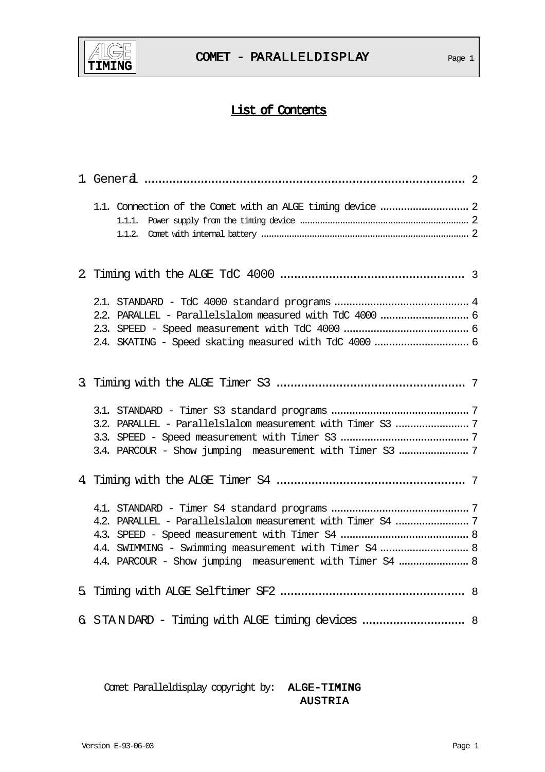

# List of Contents

| 2.2. PARALLEL - Parallelslalom measured with TdC 4000  6<br>2.4. SKATING - Speed skating measured with TdC 4000  6                                                               |  |
|----------------------------------------------------------------------------------------------------------------------------------------------------------------------------------|--|
|                                                                                                                                                                                  |  |
| 3.2. PARALLEL - Parallelslalom measurement with Timer S3  7                                                                                                                      |  |
|                                                                                                                                                                                  |  |
| 4.2. PARALLEL - Parallelslalom measurement with Timer S4  7<br>4.4. SWIMMING - Swimming measurement with Timer S4  8<br>4.4. PARCOUR - Show jumping measurement with Timer S4  8 |  |
|                                                                                                                                                                                  |  |
| 6. STANDARD - Timing with ALGE timing devices  8                                                                                                                                 |  |

Comet Paralleldisplay copyright by: ALGE-TIMING AUSTRIA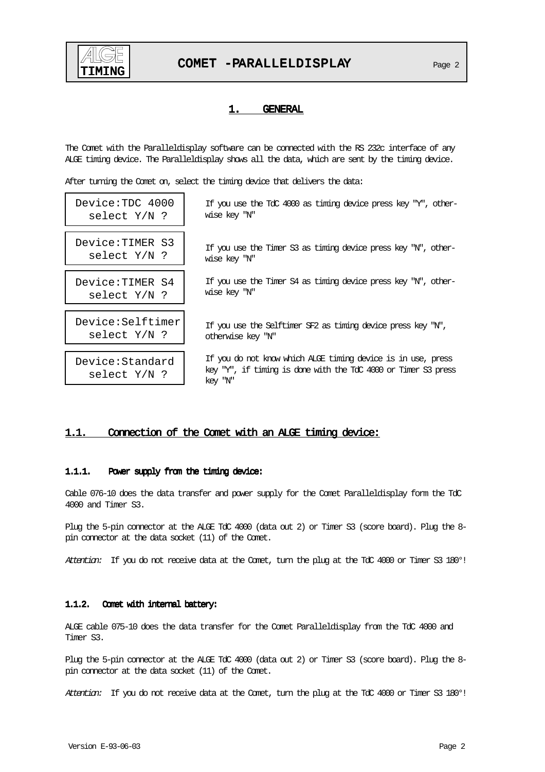

# 1. GENERAL

The Comet with the Paralleldisplay software can be connected with the RS 232c interface of any ALGE timing device. The Paralleldisplay shows all the data, which are sent by the timing device.

After turning the Comet on, select the timing device that delivers the data:

| Device:TDC 4000                   | If you use the TdC 4000 as timing device press key "Y", other-                                                                            |
|-----------------------------------|-------------------------------------------------------------------------------------------------------------------------------------------|
| select Y/N ?                      | wise key "N"                                                                                                                              |
| Device:TIMER S3                   | If you use the Timer S3 as timing device press key "N", other-                                                                            |
| select Y/N ?                      | wise key "N"                                                                                                                              |
| Device: TIMER S4                  | If you use the Timer S4 as timing device press key "N", other-                                                                            |
| select Y/N ?                      | wise key "N"                                                                                                                              |
| Device:Selftimer                  | If you use the Selftimer SF2 as timing device press key "N",                                                                              |
| select $Y/N$ ?                    | otherwise key "N"                                                                                                                         |
| Device:Standard<br>select $Y/N$ ? | If you do not know which ALGE timing device is in use, press<br>key "Y", if timing is done with the TdC 4000 or Timer S3 press<br>key "N" |

# 1.1. Connection of the Comet with an ALGE timing device:

#### 1.1.1. Power supply from the timing device:

Cable 076-10 does the data transfer and power supply for the Comet Paralleldisplay form the TdC 4000 and Timer S3.

Plug the 5-pin connector at the ALGE TdC 4000 (data out 2) or Timer S3 (score board). Plug the 8 pin connector at the data socket (11) of the Comet.

Attention: If you do not receive data at the Comet, turn the plug at the TdC 4000 or Timer S3 180°!

#### 1.1.2. Comet with internal battery:

ALGE cable 075-10 does the data transfer for the Comet Paralleldisplay from the TdC 4000 and Timer S3.

Plug the 5-pin connector at the ALGE TdC 4000 (data out 2) or Timer S3 (score board). Plug the 8 pin connector at the data socket (11) of the Comet.

Attention: If you do not receive data at the Comet, turn the plug at the TdC 4000 or Timer S3 180°!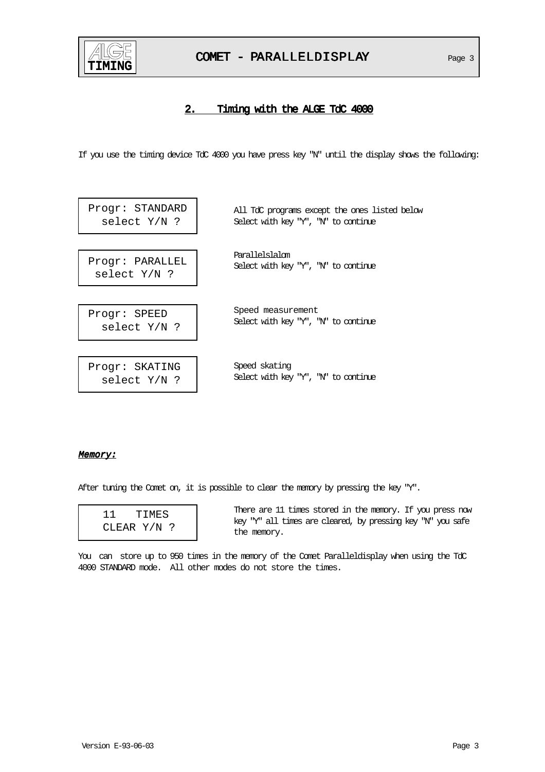

# COMET - PARALLELDISPLAY Page 3

# 2. Timing with the ALGE TdC 4000

If you use the timing device TdC 4000 you have press key "N" until the display shows the following:

| Progr: STANDARD | All TdC programs except the ones listed below |
|-----------------|-----------------------------------------------|
| select $Y/N$ ?  | Select with key "Y", "N" to continue          |
| Progr: PARALLEL | Parallelslalom                                |
| select $Y/N$ ?  | Select with key "Y", "N" to continue          |
| Progr: SPEED    | Speed measurement                             |
| select $Y/N$ ?  | Select with key "Y", "N" to continue          |
| Progr: SKATING  | Speed skating                                 |
| select $Y/N$ ?  | Select with key "Y", "N" to continue          |

#### Memory:

After tuning the Comet on, it is possible to clear the memory by pressing the key "Y".

| 11. | TIMES       |
|-----|-------------|
|     | CLEAR Y/N ? |

There are 11 times stored in the memory. If you press now key "Y" all times are cleared, by pressing key "N" you safe the memory.

You can store up to 950 times in the memory of the Comet Paralleldisplay when using the TdC 4000 STANDARD mode. All other modes do not store the times.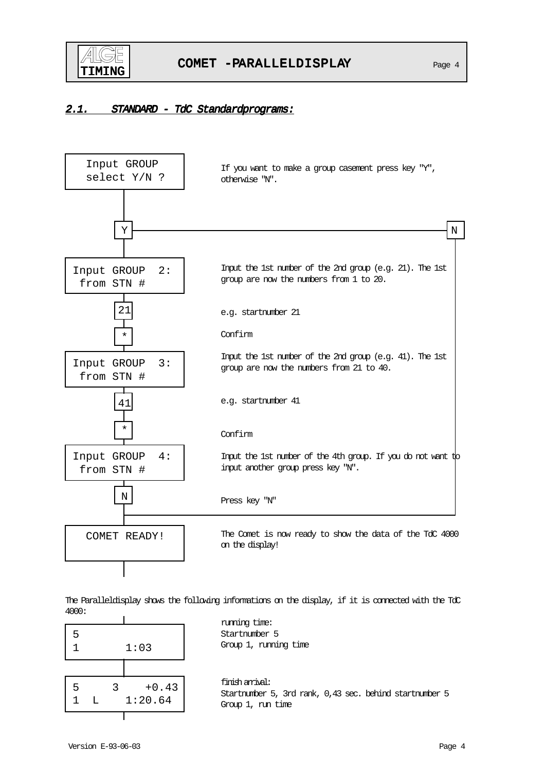

# 2.1. STANDARD - TdC Standardprograms:



The Paralleldisplay shows the following informations on the display, if it is connected with the TdC 4000:

| 5 |    |   | 1:03               |  |
|---|----|---|--------------------|--|
| 5 | T. | ς | $+0.43$<br>1:20.64 |  |
|   |    |   |                    |  |

running time: Startnumber 5 Group 1, running time

finish arrival: Startnumber 5, 3rd rank, 0,43 sec. behind startnumber 5 Group 1, run time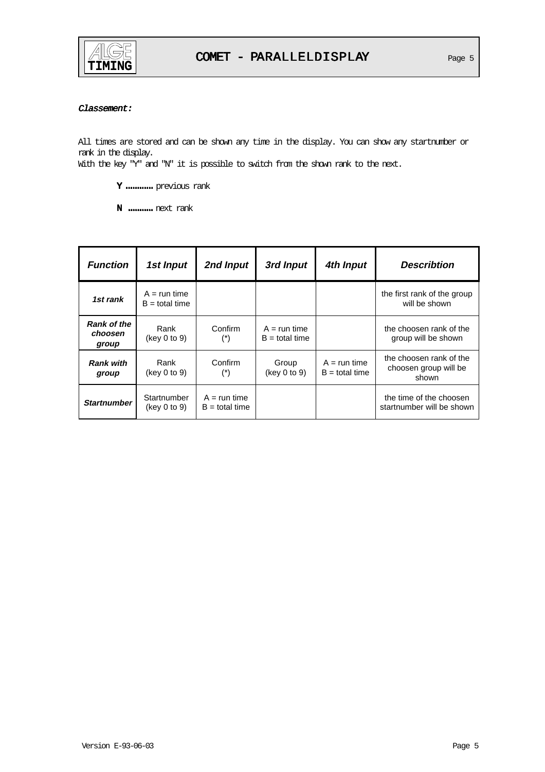

# Classement:

All times are stored and can be shown any time in the display. You can show any startnumber or rank in the display.

With the key "Y" and "N" it is possible to switch from the shown rank to the next.

- Y ............. previous rank
- N ...........next rank .

| <b>Function</b>                        | 1st Input                          | 2nd Input                          | 3rd Input                          | 4th Input                          | <b>Describtion</b>                                        |
|----------------------------------------|------------------------------------|------------------------------------|------------------------------------|------------------------------------|-----------------------------------------------------------|
| 1st rank                               | $A = run time$<br>$B =$ total time |                                    |                                    |                                    | the first rank of the group<br>will be shown              |
| <b>Rank of the</b><br>choosen<br>group | Rank<br>(key 0 to 9)               | Confirm<br>$(*)$                   | $A = run time$<br>$B =$ total time |                                    | the choosen rank of the<br>group will be shown            |
| <b>Rank with</b><br>group              | Rank<br>(key 0 to 9)               | Confirm<br>$(\dot{\phantom{a}}^*)$ | Group<br>(key 0 to 9)              | $A = run time$<br>$B =$ total time | the choosen rank of the<br>choosen group will be<br>shown |
| <b>Startnumber</b>                     | Startnumber<br>(key 0 to 9)        | $A = run time$<br>$B =$ total time |                                    |                                    | the time of the choosen<br>startnumber will be shown      |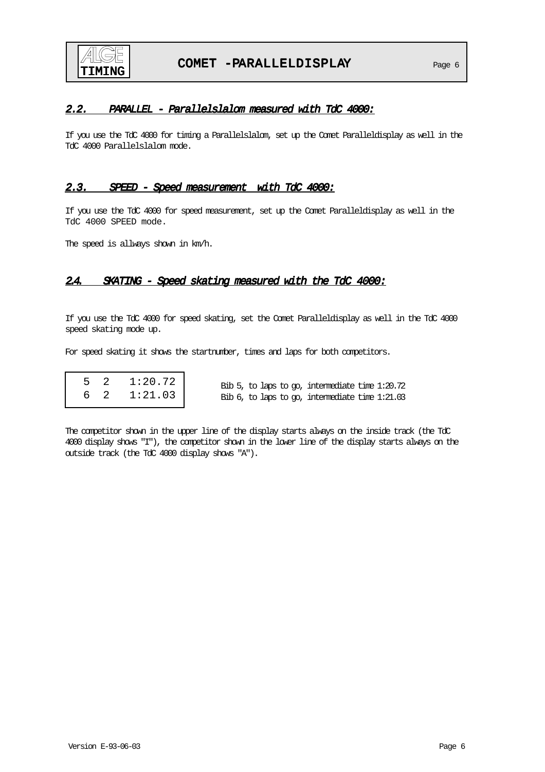

# 2.2. PARALLEL - Parallelslalom measured with TdC 4000:

If you use the TdC 4000 for timing a Parallelslalom, set up the Comet Paralleldisplay as well in the TdC 4000 Parallelslalom mode.

# 2.3. SPEED - Speed measurement with TdC 4000:

If you use the TdC 4000 for speed measurement, set up the Comet Paralleldisplay as well in the TdC 4000 SPEED mode.

The speed is allways shown in km/h.

# 2.4. SKATING - Speed skating measured with the TdC 4000:

If you use the TdC 4000 for speed skating, set the Comet Paralleldisplay as well in the TdC 4000 speed skating mode up.

For speed skating it shows the startnumber, times and laps for both competitors.

| 5 2 | 1:20.72 |
|-----|---------|
| 62  | 1:21.03 |

Bib 5, to laps to go, intermediate time 1:20.72 Bib 6, to laps to go, intermediate time 1:21.03

The competitor shown in the upper line of the display starts always on the inside track (the TdC 4000 display shows "I"), the competitor shown in the lower line of the display starts always on the outside track (the TdC 4000 display shows "A").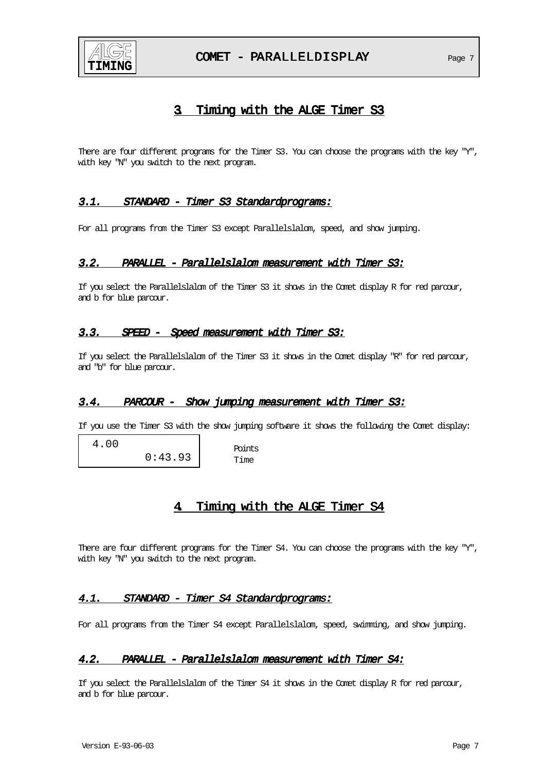

# 3. Timing with the ALGE Timer S3

There are four different programs for the Timer S3. You can choose the programs with the key "Y", with key "N" you switch to the next program.

# 3.1. STANDARD - Timer S3 Standardprograms:

For all programs from the Timer S3 except Parallelslalom, speed, and show jumping.

# 3.2. PARALLEL - Parallelslalom measurement with Timer S3:

If you select the Parallelslalom of the Timer S3 it shows in the Comet display R for red parcour, and b for blue parcour.

# 3.3. SPEED - Speed measurement with Timer S3:

If you select the Parallelslalom of the Timer S3 it shows in the Comet display "R" for red parcour, and "b" for blue parcour.

# 3.4. PARCOUR - Show jumping measurement with Timer S3:

If you use the Timer S3 with the show jumping software it shows the following the Comet display:

 4.00 0:43.93

Points Time

# 4. Timing with the ALGE Timer S4

There are four different programs for the Timer S4. You can choose the programs with the key "Y", with key "N" you switch to the next program.

# 4.1. STANDARD - Timer S4 Standardprograms:

For all programs from the Timer S4 except Parallelslalom, speed, swimming, and show jumping.

# 4.2. PARALLEL - Parallelslalom measurement with Timer S4:

If you select the Parallelslalom of the Timer S4 it shows in the Comet display R for red parcour, and b for blue parcour.